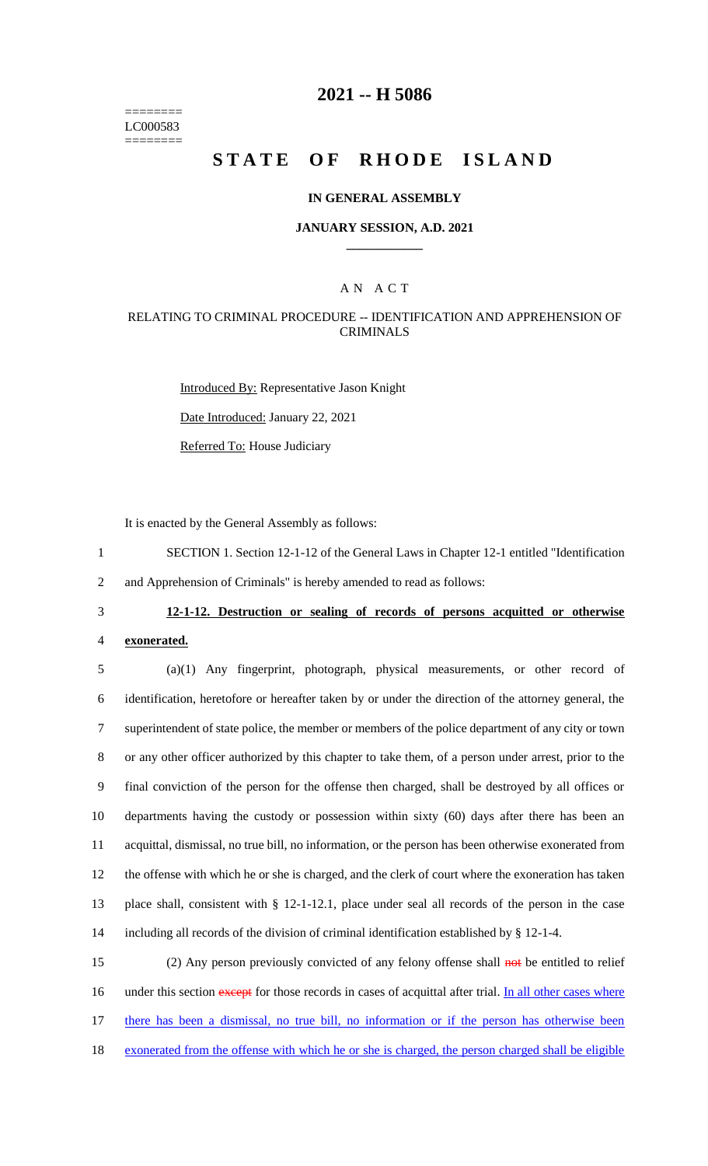======== LC000583 ========

## **2021 -- H 5086**

# **STATE OF RHODE ISLAND**

### **IN GENERAL ASSEMBLY**

### **JANUARY SESSION, A.D. 2021 \_\_\_\_\_\_\_\_\_\_\_\_**

## A N A C T

### RELATING TO CRIMINAL PROCEDURE -- IDENTIFICATION AND APPREHENSION OF CRIMINALS

Introduced By: Representative Jason Knight Date Introduced: January 22, 2021 Referred To: House Judiciary

It is enacted by the General Assembly as follows:

1 SECTION 1. Section 12-1-12 of the General Laws in Chapter 12-1 entitled "Identification 2 and Apprehension of Criminals" is hereby amended to read as follows:

### 3 **12-1-12. Destruction or sealing of records of persons acquitted or otherwise**

4 **exonerated.**

 (a)(1) Any fingerprint, photograph, physical measurements, or other record of identification, heretofore or hereafter taken by or under the direction of the attorney general, the superintendent of state police, the member or members of the police department of any city or town or any other officer authorized by this chapter to take them, of a person under arrest, prior to the final conviction of the person for the offense then charged, shall be destroyed by all offices or departments having the custody or possession within sixty (60) days after there has been an acquittal, dismissal, no true bill, no information, or the person has been otherwise exonerated from the offense with which he or she is charged, and the clerk of court where the exoneration has taken place shall, consistent with § 12-1-12.1, place under seal all records of the person in the case including all records of the division of criminal identification established by § 12-1-4.

 (2) Any person previously convicted of any felony offense shall not be entitled to relief 16 under this section except for those records in cases of acquittal after trial. In all other cases where there has been a dismissal, no true bill, no information or if the person has otherwise been exonerated from the offense with which he or she is charged, the person charged shall be eligible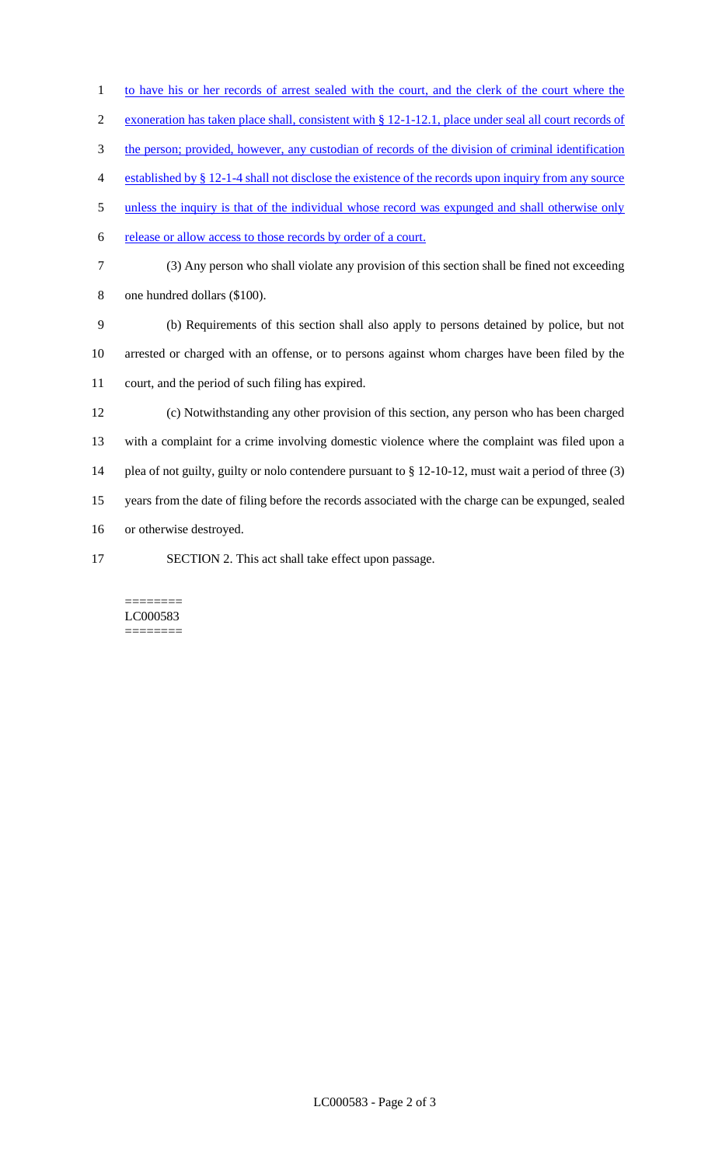1 to have his or her records of arrest sealed with the court, and the clerk of the court where the exoneration has taken place shall, consistent with § 12-1-12.1, place under seal all court records of 3 the person; provided, however, any custodian of records of the division of criminal identification established by § 12-1-4 shall not disclose the existence of the records upon inquiry from any source 5 unless the inquiry is that of the individual whose record was expunged and shall otherwise only release or allow access to those records by order of a court. (3) Any person who shall violate any provision of this section shall be fined not exceeding one hundred dollars (\$100). (b) Requirements of this section shall also apply to persons detained by police, but not arrested or charged with an offense, or to persons against whom charges have been filed by the court, and the period of such filing has expired. (c) Notwithstanding any other provision of this section, any person who has been charged with a complaint for a crime involving domestic violence where the complaint was filed upon a plea of not guilty, guilty or nolo contendere pursuant to § 12-10-12, must wait a period of three (3) years from the date of filing before the records associated with the charge can be expunged, sealed or otherwise destroyed. SECTION 2. This act shall take effect upon passage.

#### ======== LC000583 ========